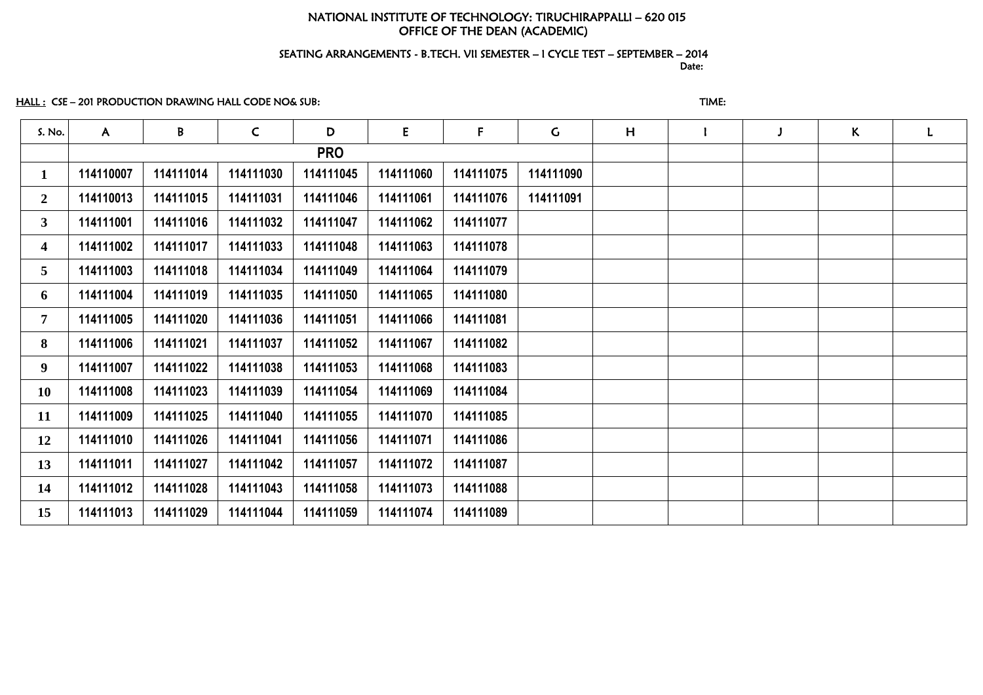# NATIONAL INSTITUTE OF TECHNOLOGY: TIRUCHIRAPPALLI – 620 015 OFFICE OF THE DEAN (ACADEMIC)

### SEATING ARRANGEMENTS - B.TECH. VII SEMESTER – I CYCLE TEST – SEPTEMBER – 2014 and the contract of the contract of the contract of the contract of the contract of the contract of the contract of the contract of the contract of the contract of the contract of the contract of the contract of the contra

# HALL : CSE – 201 PRODUCTION DRAWING HALL CODE NO& SUB: THE STATE STATE STATE STATE:

| S. No.                  | $\mathsf{A}$ | B         | $\mathsf{C}$ | D          | E         | F         | $\mathsf{C}$ | H | J | $\mathsf{K}^-$ | L |
|-------------------------|--------------|-----------|--------------|------------|-----------|-----------|--------------|---|---|----------------|---|
|                         |              |           |              | <b>PRO</b> |           |           |              |   |   |                |   |
| $\mathbf{1}$            | 114110007    | 114111014 | 114111030    | 114111045  | 114111060 | 114111075 | 114111090    |   |   |                |   |
| $\mathbf{2}$            | 114110013    | 114111015 | 114111031    | 114111046  | 114111061 | 114111076 | 114111091    |   |   |                |   |
| 3 <sup>1</sup>          | 114111001    | 114111016 | 114111032    | 114111047  | 114111062 | 114111077 |              |   |   |                |   |
| $\overline{\mathbf{4}}$ | 114111002    | 114111017 | 114111033    | 114111048  | 114111063 | 114111078 |              |   |   |                |   |
| 5                       | 114111003    | 114111018 | 114111034    | 114111049  | 114111064 | 114111079 |              |   |   |                |   |
| 6                       | 114111004    | 114111019 | 114111035    | 114111050  | 114111065 | 114111080 |              |   |   |                |   |
| $\overline{7}$          | 114111005    | 114111020 | 114111036    | 114111051  | 114111066 | 114111081 |              |   |   |                |   |
| 8                       | 114111006    | 114111021 | 114111037    | 114111052  | 114111067 | 114111082 |              |   |   |                |   |
| 9                       | 114111007    | 114111022 | 114111038    | 114111053  | 114111068 | 114111083 |              |   |   |                |   |
| <b>10</b>               | 114111008    | 114111023 | 114111039    | 114111054  | 114111069 | 114111084 |              |   |   |                |   |
| 11                      | 114111009    | 114111025 | 114111040    | 114111055  | 114111070 | 114111085 |              |   |   |                |   |
| 12                      | 114111010    | 114111026 | 114111041    | 114111056  | 114111071 | 114111086 |              |   |   |                |   |
| 13                      | 114111011    | 114111027 | 114111042    | 114111057  | 114111072 | 114111087 |              |   |   |                |   |
| 14                      | 114111012    | 114111028 | 114111043    | 114111058  | 114111073 | 114111088 |              |   |   |                |   |
| 15                      | 114111013    | 114111029 | 114111044    | 114111059  | 114111074 | 114111089 |              |   |   |                |   |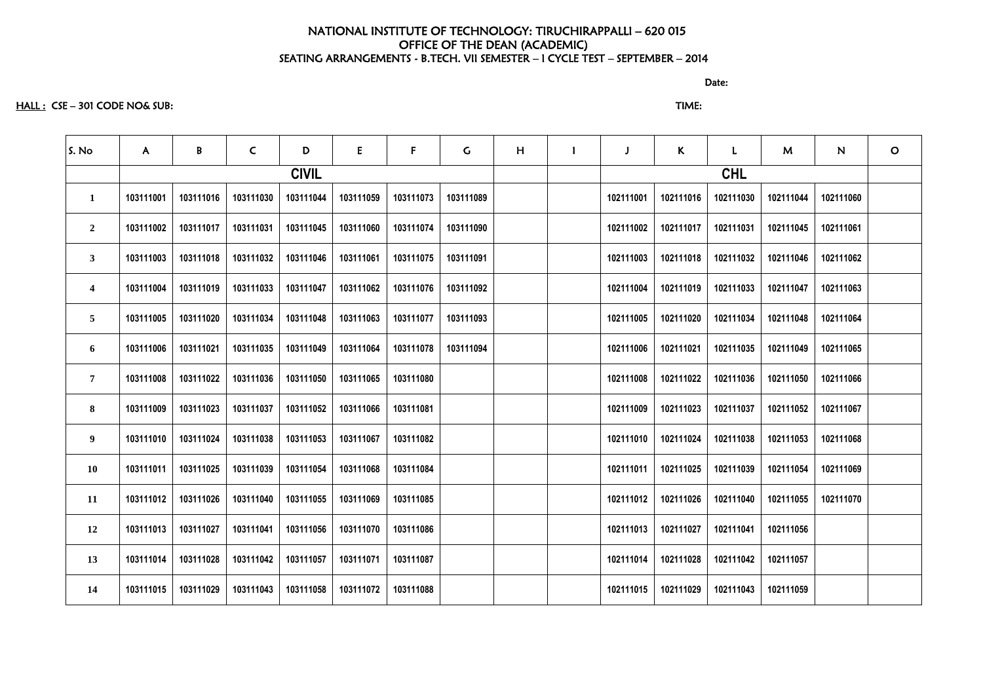discussion of the contract of the contract of the contract of the contract of the contract of the contract of the contract of the contract of the contract of the contract of the contract of the contract of the contract of

#### HALL : CSE – 301 CODE NO& SUB: TIME:

S. No | A | B | C | D | E | F | G | H | I | J | K | L | M | N | O **CIVIL CHL 103111001 103111016 103111030 103111044 103111059 103111073 103111089 102111001 102111016 102111030 102111044 102111060 103111002 103111017 103111031 103111045 103111060 103111074 103111090 102111002 102111017 102111031 102111045 102111061 103111003 103111018 103111032 103111046 103111061 103111075 103111091 102111003 102111018 102111032 102111046 102111062 103111004 103111019 103111033 103111047 103111062 103111076 103111092 102111004 102111019 102111033 102111047 102111063 103111005 103111020 103111034 103111048 103111063 103111077 103111093 102111005 102111020 102111034 102111048 102111064 103111006 103111021 103111035 103111049 103111064 103111078 103111094 102111006 102111021 102111035 102111049 102111065 103111008 103111022 103111036 103111050 103111065 103111080 102111008 102111022 102111036 102111050 102111066 103111009 103111023 103111037 103111052 103111066 103111081 102111009 102111023 102111037 102111052 102111067 103111010 103111024 103111038 103111053 103111067 103111082 102111010 102111024 102111038 102111053 102111068 103111011 103111025 103111039 103111054 103111068 103111084 102111011 102111025 102111039 102111054 102111069 103111012 103111026 103111040 103111055 103111069 103111085 102111012 102111026 102111040 102111055 102111070 103111013 103111027 103111041 103111056 103111070 103111086 102111013 102111027 102111041 102111056 103111014 103111028 103111042 103111057 103111071 103111087 102111014 102111028 102111042 102111057 103111015 103111029 103111043 103111058 103111072 103111088 102111015 102111029 102111043 102111059**

|     | M         | N         | O |
|-----|-----------|-----------|---|
|     |           |           |   |
| 030 | 102111044 | 102111060 |   |
| 031 | 102111045 | 102111061 |   |
| 032 | 102111046 | 102111062 |   |
| 033 | 102111047 | 102111063 |   |
| 034 | 102111048 | 102111064 |   |
| 035 | 102111049 | 102111065 |   |
| 036 | 102111050 | 102111066 |   |
| 037 | 102111052 | 102111067 |   |
| 038 | 102111053 | 102111068 |   |
| 039 | 102111054 | 102111069 |   |
| 040 | 102111055 | 102111070 |   |
| 041 | 102111056 |           |   |
| 042 | 102111057 |           |   |
| 043 | 102111059 |           |   |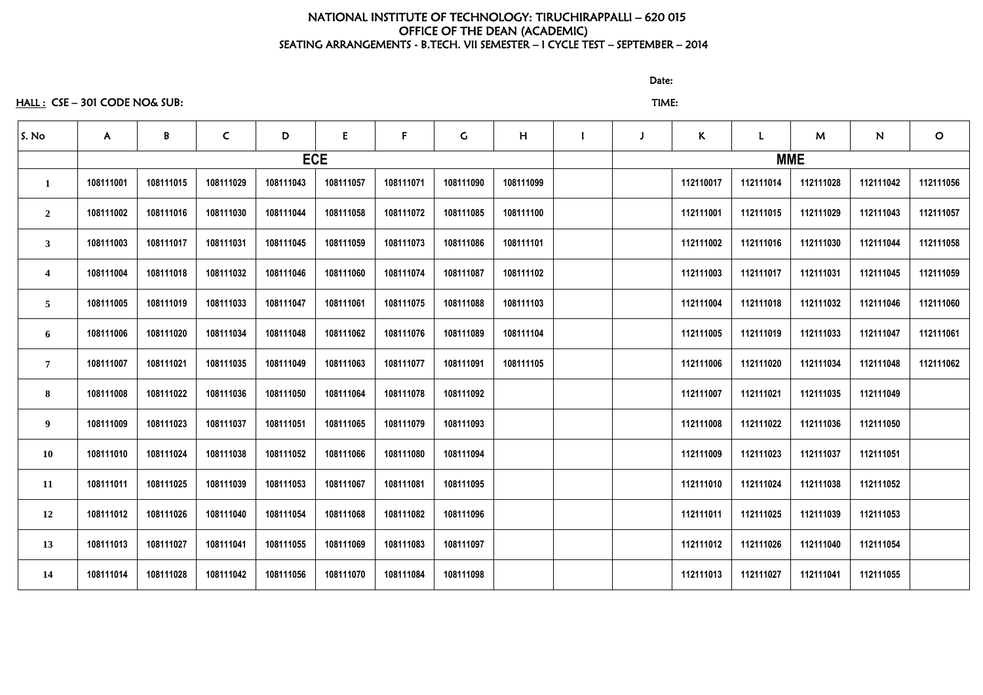HALL : CSE – 301 CODE NO& SUB: TIME:

discussion of the contract of the contract of the Date:

| S. No                   | $\mathsf{A}$ | B         | $\mathsf{C}$ | D         | E          | $\mathbf{F}$ | $\mathsf{G}$ | H         |  | $\kappa$  | $\mathbf{L}$ | M         | N         | $\mathbf O$ |
|-------------------------|--------------|-----------|--------------|-----------|------------|--------------|--------------|-----------|--|-----------|--------------|-----------|-----------|-------------|
|                         |              |           |              |           | <b>ECE</b> |              |              |           |  |           | <b>MME</b>   |           |           |             |
| $\mathbf{1}$            | 108111001    | 108111015 | 108111029    | 108111043 | 108111057  | 108111071    | 108111090    | 108111099 |  | 112110017 | 112111014    | 112111028 | 112111042 | 112111056   |
| $\overline{2}$          | 108111002    | 108111016 | 108111030    | 108111044 | 108111058  | 108111072    | 108111085    | 108111100 |  | 112111001 | 112111015    | 112111029 | 112111043 | 112111057   |
| $\mathbf{3}$            | 108111003    | 108111017 | 108111031    | 108111045 | 108111059  | 108111073    | 108111086    | 108111101 |  | 112111002 | 112111016    | 112111030 | 112111044 | 112111058   |
| $\overline{\mathbf{4}}$ | 108111004    | 108111018 | 108111032    | 108111046 | 108111060  | 108111074    | 108111087    | 108111102 |  | 112111003 | 112111017    | 112111031 | 112111045 | 112111059   |
| $\overline{\mathbf{5}}$ | 108111005    | 108111019 | 108111033    | 108111047 | 108111061  | 108111075    | 108111088    | 108111103 |  | 112111004 | 112111018    | 112111032 | 112111046 | 112111060   |
| 6                       | 108111006    | 108111020 | 108111034    | 108111048 | 108111062  | 108111076    | 108111089    | 108111104 |  | 112111005 | 112111019    | 112111033 | 112111047 | 112111061   |
| $7\overline{ }$         | 108111007    | 108111021 | 108111035    | 108111049 | 108111063  | 108111077    | 108111091    | 108111105 |  | 112111006 | 112111020    | 112111034 | 112111048 | 112111062   |
| 8                       | 108111008    | 108111022 | 108111036    | 108111050 | 108111064  | 108111078    | 108111092    |           |  | 112111007 | 112111021    | 112111035 | 112111049 |             |
| 9 <sub>o</sub>          | 108111009    | 108111023 | 108111037    | 108111051 | 108111065  | 108111079    | 108111093    |           |  | 112111008 | 112111022    | 112111036 | 112111050 |             |
| 10                      | 108111010    | 108111024 | 108111038    | 108111052 | 108111066  | 108111080    | 108111094    |           |  | 112111009 | 112111023    | 112111037 | 112111051 |             |
| 11                      | 108111011    | 108111025 | 108111039    | 108111053 | 108111067  | 108111081    | 108111095    |           |  | 112111010 | 112111024    | 112111038 | 112111052 |             |
| 12                      | 108111012    | 108111026 | 108111040    | 108111054 | 108111068  | 108111082    | 108111096    |           |  | 112111011 | 112111025    | 112111039 | 112111053 |             |
| 13                      | 108111013    | 108111027 | 108111041    | 108111055 | 108111069  | 108111083    | 108111097    |           |  | 112111012 | 112111026    | 112111040 | 112111054 |             |
| 14                      | 108111014    | 108111028 | 108111042    | 108111056 | 108111070  | 108111084    | 108111098    |           |  | 112111013 | 112111027    | 112111041 | 112111055 |             |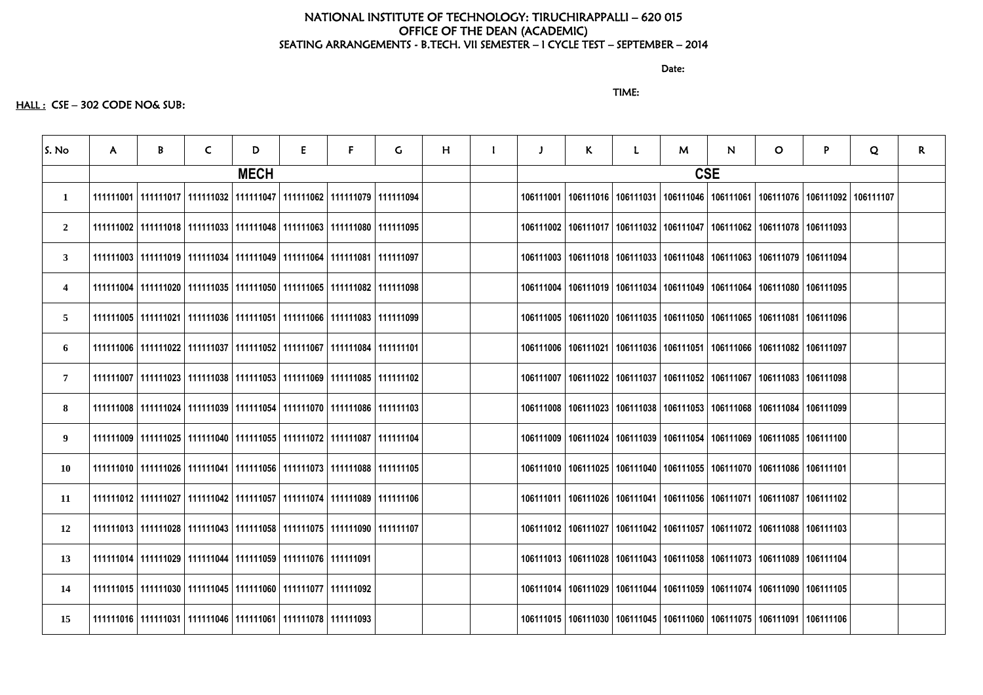discussion of the contract of the contract of the Date:

# TIME:

# HALL : CSE - 302 CODE NO& SUB:

| S. No                   | A. | B | C | D           | E.                                                                                | F. | G. | H |           | $\mathsf{K}$ | $\mathsf{M}$                                                                                  | N.         | $\mathbf{O}$                      | P. | Q | $\mathsf{R}$ |
|-------------------------|----|---|---|-------------|-----------------------------------------------------------------------------------|----|----|---|-----------|--------------|-----------------------------------------------------------------------------------------------|------------|-----------------------------------|----|---|--------------|
|                         |    |   |   | <b>MECH</b> |                                                                                   |    |    |   |           |              |                                                                                               | <b>CSE</b> |                                   |    |   |              |
| $\mathbf{1}$            |    |   |   |             | 111111001   111111017   111111032   111111047   111111062   111111079   111111094 |    |    |   |           |              | 106111001   106111016   106111031   106111046   106111061   106111076   106111092   106111107 |            |                                   |    |   |              |
| $\overline{2}$          |    |   |   |             | 111111002   111111018   111111033   111111048   111111063   111111080   111111095 |    |    |   |           |              | 106111002   106111017   106111032   106111047                                                 |            | 106111062   106111078   106111093 |    |   |              |
| $\mathbf{3}$            |    |   |   |             | 111111003   111111019   111111034   111111049   111111064   111111081   111111097 |    |    |   |           |              | 106111003   106111018   106111033   106111048   106111063   106111079   106111094             |            |                                   |    |   |              |
| $\overline{\mathbf{4}}$ |    |   |   |             | 111111004   111111020   111111035   111111050   111111065   111111082   111111098 |    |    |   |           |              | 106111004   106111019   106111034   106111049   106111064   106111080   106111095             |            |                                   |    |   |              |
| $\overline{5}$          |    |   |   |             | 111111005   111111021   111111036   111111051   111111066   111111083   111111099 |    |    |   |           |              | 106111005   106111020   106111035   106111050                                                 |            | 106111065   106111081   106111096 |    |   |              |
| 6                       |    |   |   |             | 111111006   111111022   111111037   111111052   111111067   111111084   111111101 |    |    |   |           |              | 106111006   106111021   106111036   106111051                                                 |            | 106111066   106111082   106111097 |    |   |              |
| $\overline{7}$          |    |   |   |             | 111111007   111111023   111111038   111111053   111111069   111111085   111111102 |    |    |   | 106111007 |              | 106111022   106111037   106111052   106111067   106111083   106111098                         |            |                                   |    |   |              |
| 8                       |    |   |   |             | 111111008   111111024   111111039   111111054   111111070   111111086   111111103 |    |    |   |           |              | 106111008   106111023   106111038   106111053   106111068   106111084   106111099             |            |                                   |    |   |              |
| 9                       |    |   |   |             | 111111009   111111025   111111040   111111055   111111072   111111087   111111104 |    |    |   |           |              | 106111009   106111024   106111039   106111054   106111069   106111085   106111100             |            |                                   |    |   |              |
| 10                      |    |   |   |             | 111111026   111111041   111111056   111111073   111111088   111111105             |    |    |   |           |              | 106111010   106111025   106111040   106111055   106111070   106111086   106111101             |            |                                   |    |   |              |
| 11                      |    |   |   |             | 111111012   111111027   111111042   111111057   111111074   111111089   111111106 |    |    |   |           |              | 106111011   106111026   106111041   106111056   106111071   106111087   106111102             |            |                                   |    |   |              |
| <b>12</b>               |    |   |   |             | 111111013   111111028   111111043   111111058   111111075   111111090   111111107 |    |    |   |           |              | 106111012   106111027   106111042   106111057   106111072   106111088   106111103             |            |                                   |    |   |              |
| 13                      |    |   |   |             | 111111014   111111029   111111044   111111059   111111076   111111091             |    |    |   |           |              | 106111013   106111028   106111043   106111058   106111073   106111089   106111104             |            |                                   |    |   |              |
| 14                      |    |   |   |             | 111111015   111111030   111111045   111111060   111111077   111111092             |    |    |   |           |              | 106111014   106111029   106111044   106111059   106111074   106111090   106111105             |            |                                   |    |   |              |
| 15                      |    |   |   |             | 111111016   111111031   111111046   111111061   111111078   111111093             |    |    |   |           |              | 106111015   106111030   106111045   106111060   106111075   106111091   106111106             |            |                                   |    |   |              |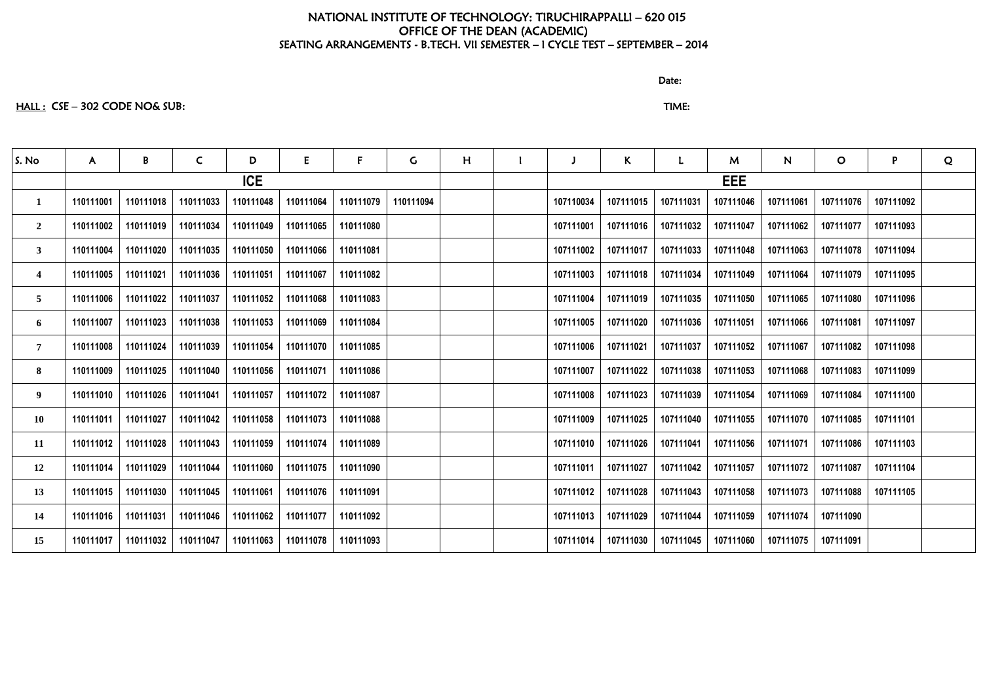discussion of the contract of the contract of the Date:

# HALL : CSE – 302 CODE NO& SUB: TIME:

| S. No           | $\mathsf{A}$ | B         | $\mathsf{C}$ | D          | E         | F.        | $\mathsf{G}$ | H |           | $\mathsf{K}$ | L         | M          | N         | $\mathbf O$ | P         | Q |
|-----------------|--------------|-----------|--------------|------------|-----------|-----------|--------------|---|-----------|--------------|-----------|------------|-----------|-------------|-----------|---|
|                 |              |           |              | <b>ICE</b> |           |           |              |   |           |              |           | <b>EEE</b> |           |             |           |   |
| $\mathbf{1}$    | 110111001    | 110111018 | 110111033    | 110111048  | 110111064 | 110111079 | 110111094    |   | 107110034 | 107111015    | 107111031 | 107111046  | 107111061 | 107111076   | 107111092 |   |
| $\overline{2}$  | 110111002    | 110111019 | 110111034    | 110111049  | 110111065 | 110111080 |              |   | 107111001 | 107111016    | 107111032 | 107111047  | 107111062 | 107111077   | 107111093 |   |
| 3 <sup>1</sup>  | 110111004    | 110111020 | 110111035    | 110111050  | 110111066 | 110111081 |              |   | 107111002 | 107111017    | 107111033 | 107111048  | 107111063 | 107111078   | 107111094 |   |
| 4               | 110111005    | 110111021 | 110111036    | 110111051  | 110111067 | 110111082 |              |   | 107111003 | 107111018    | 107111034 | 107111049  | 107111064 | 107111079   | 107111095 |   |
| 5 <sup>5</sup>  | 110111006    | 110111022 | 110111037    | 110111052  | 110111068 | 110111083 |              |   | 107111004 | 107111019    | 107111035 | 107111050  | 107111065 | 107111080   | 107111096 |   |
| 6               | 110111007    | 110111023 | 110111038    | 110111053  | 110111069 | 110111084 |              |   | 107111005 | 107111020    | 107111036 | 107111051  | 107111066 | 107111081   | 107111097 |   |
| $7\overline{ }$ | 110111008    | 110111024 | 110111039    | 110111054  | 110111070 | 110111085 |              |   | 107111006 | 107111021    | 107111037 | 107111052  | 107111067 | 107111082   | 107111098 |   |
| 8               | 110111009    | 110111025 | 110111040    | 110111056  | 110111071 | 110111086 |              |   | 107111007 | 107111022    | 107111038 | 107111053  | 107111068 | 107111083   | 107111099 |   |
| 9               | 110111010    | 110111026 | 110111041    | 110111057  | 110111072 | 110111087 |              |   | 107111008 | 107111023    | 107111039 | 107111054  | 107111069 | 107111084   | 107111100 |   |
| 10              | 110111011    | 110111027 | 110111042    | 110111058  | 110111073 | 110111088 |              |   | 107111009 | 107111025    | 107111040 | 107111055  | 107111070 | 107111085   | 107111101 |   |
| 11              | 110111012    | 110111028 | 110111043    | 110111059  | 110111074 | 110111089 |              |   | 107111010 | 107111026    | 107111041 | 107111056  | 107111071 | 107111086   | 107111103 |   |
| 12              | 110111014    | 110111029 | 110111044    | 110111060  | 110111075 | 110111090 |              |   | 107111011 | 107111027    | 107111042 | 107111057  | 107111072 | 107111087   | 107111104 |   |
| 13              | 110111015    | 110111030 | 110111045    | 110111061  | 110111076 | 110111091 |              |   | 107111012 | 107111028    | 107111043 | 107111058  | 107111073 | 107111088   | 107111105 |   |
| 14              | 110111016    | 110111031 | 110111046    | 110111062  | 110111077 | 110111092 |              |   | 107111013 | 107111029    | 107111044 | 107111059  | 107111074 | 107111090   |           |   |
| 15              | 110111017    | 110111032 | 110111047    | 110111063  | 110111078 | 110111093 |              |   | 107111014 | 107111030    | 107111045 | 107111060  | 107111075 | 107111091   |           |   |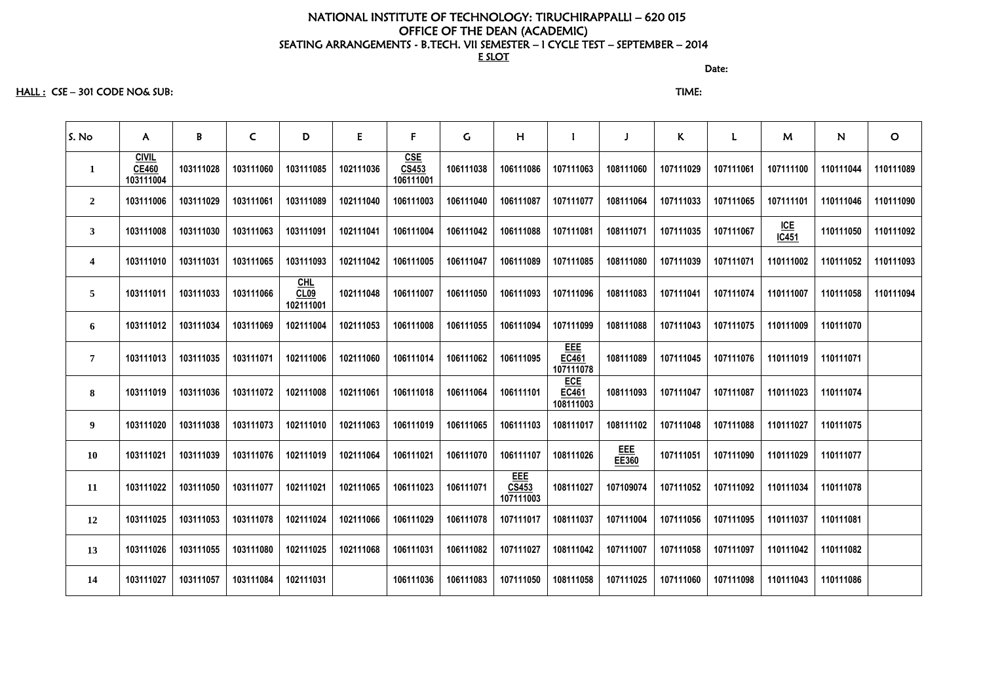HALL : CSE – 301 CODE NO& SUB: TIME:

discussion of the contract of the contract of the Date: the contract of the contract of the contract of the contract of the contract of the contract of the contract of the contract of the contract of the contract of the co

| S. No                   | A                                         | B         | $\mathsf{C}$ | D                          | E         | $\mathsf{F}$                     | $\mathsf C$ | H                                |                                  |              | K.        | $\mathbf{L}$ | M                | N                   | $\mathbf{O}$ |
|-------------------------|-------------------------------------------|-----------|--------------|----------------------------|-----------|----------------------------------|-------------|----------------------------------|----------------------------------|--------------|-----------|--------------|------------------|---------------------|--------------|
| $\mathbf{1}$            | <b>CIVIL</b><br><b>CE460</b><br>103111004 | 103111028 | 103111060    | 103111085                  | 102111036 | <u>CSE</u><br>CS453<br>106111001 | 106111038   | 106111086                        | 107111063                        | 108111060    | 107111029 | 107111061    | 107111100        | 110111044           | 110111089    |
| $\overline{2}$          | 103111006                                 | 103111029 | 103111061    | 103111089                  | 102111040 | 106111003                        | 106111040   | 106111087                        | 107111077                        | 108111064    | 107111033 | 107111065    | 107111101        | 110111046           | 110111090    |
| $\mathbf{3}$            | 103111008                                 | 103111030 | 103111063    | 103111091                  | 102111041 | 106111004                        | 106111042   | 106111088                        | 107111081                        | 108111071    | 107111035 | 107111067    | $ICE$<br>$IC451$ | 110111050           | 110111092    |
| $\overline{\mathbf{4}}$ | 103111010                                 | 103111031 | 103111065    | 103111093                  | 102111042 | 106111005                        | 106111047   | 106111089                        | 107111085                        | 108111080    | 107111039 | 107111071    | 110111002        | 110111052           | 110111093    |
| $5\overline{)}$         | 103111011                                 | 103111033 | 103111066    | $CHL$<br>CL09<br>102111001 | 102111048 | 106111007                        | 106111050   | 106111093                        | 107111096                        | 108111083    | 107111041 | 107111074    | 110111007        | 110111058           | 110111094    |
| 6                       | 103111012                                 | 103111034 | 103111069    | 102111004                  | 102111053 | 106111008                        | 106111055   | 106111094                        | 107111099                        | 108111088    | 107111043 | 107111075    | 110111009        | 110111070           |              |
| $\overline{7}$          | 103111013                                 | 103111035 | 103111071    | 102111006                  | 102111060 | 106111014                        | 106111062   | 106111095                        | EEE<br><b>EC461</b><br>107111078 | 108111089    | 107111045 | 107111076    | 110111019        | 110111071           |              |
| 8                       | 103111019                                 | 103111036 | 103111072    | 102111008                  | 102111061 | 106111018                        | 106111064   | 106111101                        | <b>ECE</b><br>EC461<br>108111003 | 108111093    | 107111047 | 107111087    | 110111023        | 110111074           |              |
| $\boldsymbol{9}$        | 103111020                                 | 103111038 | 103111073    | 102111010                  | 102111063 | 106111019                        | 106111065   | 106111103                        | 108111017                        | 108111102    | 107111048 | 107111088    | 110111027        | 110111075           |              |
| 10                      | 103111021                                 | 103111039 | 103111076    | 102111019                  | 102111064 | 106111021                        | 106111070   | 106111107                        | 108111026                        | EEE<br>EE360 | 107111051 | 107111090    | 110111029        | 110111077           |              |
| 11                      | 103111022                                 | 103111050 | 103111077    | 102111021                  | 102111065 | 106111023                        | 106111071   | EEE<br><b>CS453</b><br>107111003 | 108111027                        | 107109074    | 107111052 | 107111092    |                  | 110111034 110111078 |              |
| 12                      | 103111025                                 | 103111053 | 103111078    | 102111024                  | 102111066 | 106111029                        | 106111078   | 107111017                        | 108111037                        | 107111004    | 107111056 | 107111095    | 110111037        | 110111081           |              |
| 13                      | 103111026                                 | 103111055 | 103111080    | 102111025                  | 102111068 | 106111031                        | 106111082   | 107111027                        | 108111042                        | 107111007    | 107111058 | 107111097    | 110111042        | 110111082           |              |
| 14                      | 103111027                                 | 103111057 | 103111084    | 102111031                  |           | 106111036                        | 106111083   | 107111050                        | 108111058                        | 107111025    | 107111060 | 107111098    | 110111043        | 110111086           |              |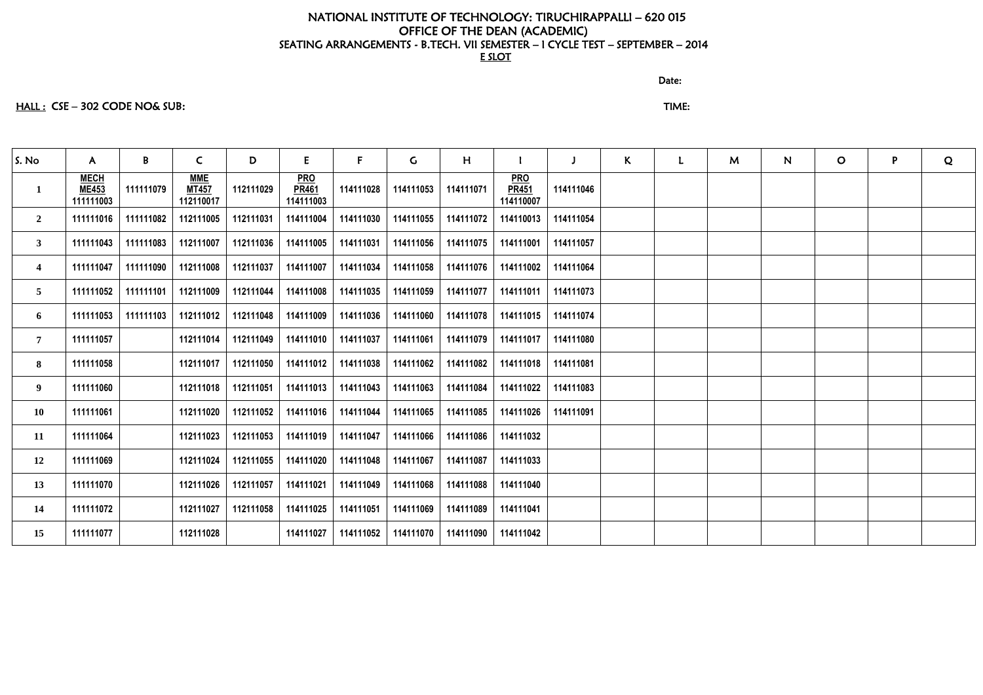#### discussion of the contract of the contract of the Date:

# HALL : CSE – 302 CODE NO& SUB: TIME:

| S. No                   | $\mathsf{A}$                             | B         | $\mathsf{C}$                            | D                   | E                                       | F.        | $\mathsf{G}$ | H                   |                                         | J         | $\mathsf{K}$ | L | M | N | $\mathbf{O}$ | P | Q |
|-------------------------|------------------------------------------|-----------|-----------------------------------------|---------------------|-----------------------------------------|-----------|--------------|---------------------|-----------------------------------------|-----------|--------------|---|---|---|--------------|---|---|
| $\mathbf{1}$            | <b>MECH</b><br><b>ME453</b><br>111111003 | 111111079 | <b>MME</b><br><b>MT457</b><br>112110017 | 112111029           | <b>PRO</b><br><b>PR461</b><br>114111003 | 114111028 | 114111053    | 114111071           | <b>PRO</b><br><b>PR451</b><br>114110007 | 114111046 |              |   |   |   |              |   |   |
| $\overline{2}$          | 111111016                                | 111111082 | 112111005                               | 112111031           | 114111004                               | 114111030 | 114111055    | 114111072           | 114110013                               | 114111054 |              |   |   |   |              |   |   |
| 3                       | 111111043                                | 111111083 | 112111007                               | 112111036           | 114111005                               | 114111031 | 114111056    | 114111075           | 114111001                               | 114111057 |              |   |   |   |              |   |   |
| $\overline{\mathbf{4}}$ | 111111047                                | 111111090 | 112111008                               | 112111037           | 114111007                               | 114111034 | 114111058    | 114111076           | 114111002                               | 114111064 |              |   |   |   |              |   |   |
| $\overline{5}$          | 111111052                                | 111111101 | 112111009                               | 112111044           | 114111008                               | 114111035 | 114111059    | 114111077           | 114111011                               | 114111073 |              |   |   |   |              |   |   |
| 6                       | 111111053                                | 111111103 | 112111012                               | 112111048           | 114111009                               | 114111036 | 114111060    | 114111078           | 114111015                               | 114111074 |              |   |   |   |              |   |   |
| $7\phantom{.0}$         | 111111057                                |           |                                         | 112111014 112111049 | 114111010                               | 114111037 | 114111061    | 114111079           | 114111017                               | 114111080 |              |   |   |   |              |   |   |
| 8                       | 111111058                                |           | 112111017                               | 112111050           | 114111012                               | 114111038 | 114111062    | 114111082           | 114111018                               | 114111081 |              |   |   |   |              |   |   |
| 9                       | 111111060                                |           | 112111018                               | 112111051           | 114111013                               | 114111043 | 114111063    | 114111084           | 114111022                               | 114111083 |              |   |   |   |              |   |   |
| 10                      | 111111061                                |           | 112111020                               | 112111052           | 114111016                               | 114111044 | 114111065    | 114111085           | 114111026                               | 114111091 |              |   |   |   |              |   |   |
| 11                      | 111111064                                |           | 112111023                               | 112111053           | 114111019                               | 114111047 | 114111066    | 114111086           | 114111032                               |           |              |   |   |   |              |   |   |
| 12                      | 111111069                                |           | 112111024                               | 112111055           | 114111020                               | 114111048 | 114111067    | 114111087           | 114111033                               |           |              |   |   |   |              |   |   |
| 13                      | 111111070                                |           | 112111026                               | 112111057           | 114111021                               | 114111049 | 114111068    | 114111088           | 114111040                               |           |              |   |   |   |              |   |   |
| 14                      | 111111072                                |           | 112111027                               | 112111058           | 114111025                               | 114111051 | 114111069    | 114111089 114111041 |                                         |           |              |   |   |   |              |   |   |
| 15                      | 111111077                                |           | 112111028                               |                     | 114111027                               | 114111052 | 114111070    | 114111090 114111042 |                                         |           |              |   |   |   |              |   |   |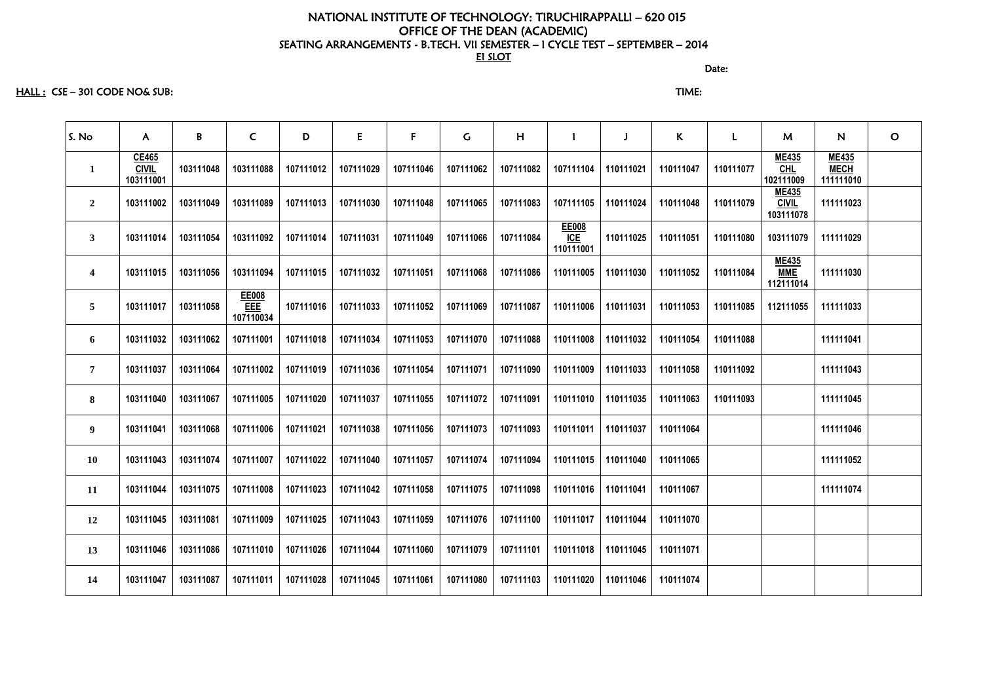HALL : CSE – 301 CODE NO& SUB: TIME:

discussion of the contract of the contract of the Date: the contract of the contract of the contract of the contract of the contract of the contract of the contract of the contract of the contract of the contract of the co

| $\overline{O}$                           |
|------------------------------------------|
| <b>ME435</b><br><b>MECH</b><br>111111010 |
| 111111023                                |
| 111111029                                |
| 111111030                                |
| 111111033                                |
| 111111041                                |
| 111111043                                |
| 111111045                                |
| 111111046                                |
| 111111052                                |
| 111111074                                |
|                                          |
|                                          |
|                                          |
|                                          |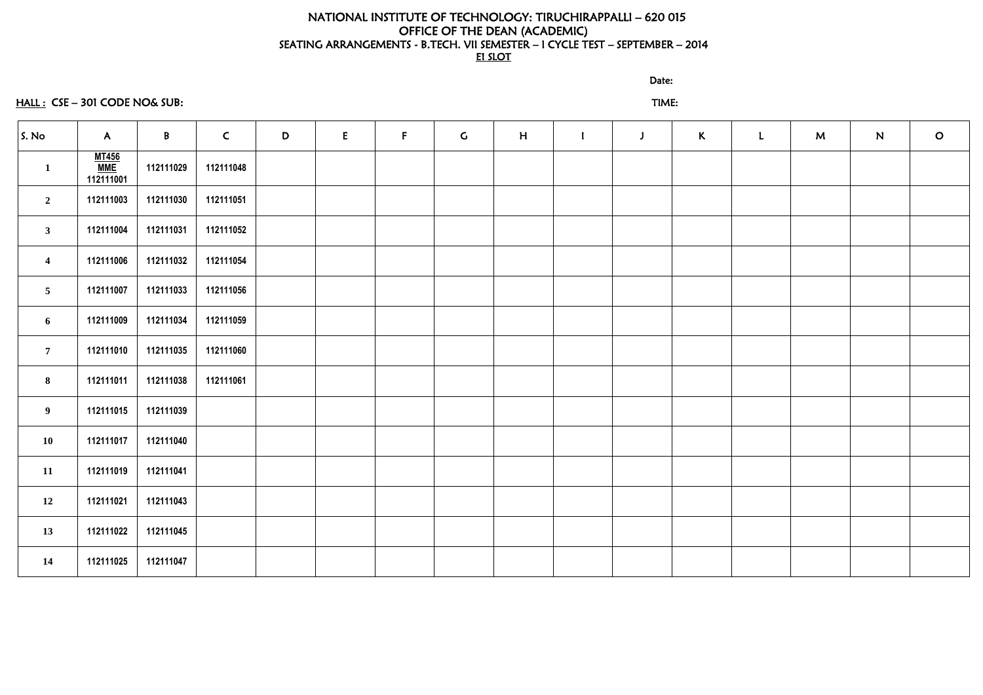# HALL : CSE – 301 CODE NO& SUB: TIME:

discussion of the contract of the contract of the Date:

| S. No                   | $\mathsf{A}$                            | $\mathsf{B}$ | $\mathsf{C}$ | D | E | F | $\mathsf{C}$ | H | $\mathbf{I}$ | $\mathbf{J}$ | $\mathsf{K}$ | $\mathbf{L}$ | M | N | $\overline{O}$ |
|-------------------------|-----------------------------------------|--------------|--------------|---|---|---|--------------|---|--------------|--------------|--------------|--------------|---|---|----------------|
| $\mathbf{1}$            | <b>MT456</b><br><b>MME</b><br>112111001 | 112111029    | 112111048    |   |   |   |              |   |              |              |              |              |   |   |                |
| $\overline{2}$          | 112111003                               | 112111030    | 112111051    |   |   |   |              |   |              |              |              |              |   |   |                |
| $\mathbf{3}$            | 112111004                               | 112111031    | 112111052    |   |   |   |              |   |              |              |              |              |   |   |                |
| $\overline{\mathbf{4}}$ | 112111006                               | 112111032    | 112111054    |   |   |   |              |   |              |              |              |              |   |   |                |
| $5\overline{)}$         | 112111007                               | 112111033    | 112111056    |   |   |   |              |   |              |              |              |              |   |   |                |
| 6                       | 112111009                               | 112111034    | 112111059    |   |   |   |              |   |              |              |              |              |   |   |                |
| $\overline{7}$          | 112111010                               | 112111035    | 112111060    |   |   |   |              |   |              |              |              |              |   |   |                |
| 8                       | 112111011                               | 112111038    | 112111061    |   |   |   |              |   |              |              |              |              |   |   |                |
| 9                       | 112111015                               | 112111039    |              |   |   |   |              |   |              |              |              |              |   |   |                |
| 10                      | 112111017                               | 112111040    |              |   |   |   |              |   |              |              |              |              |   |   |                |
| 11                      | 112111019                               | 112111041    |              |   |   |   |              |   |              |              |              |              |   |   |                |
| 12                      | 112111021                               | 112111043    |              |   |   |   |              |   |              |              |              |              |   |   |                |
| 13                      | 112111022                               | 112111045    |              |   |   |   |              |   |              |              |              |              |   |   |                |
| 14                      | 112111025                               | 112111047    |              |   |   |   |              |   |              |              |              |              |   |   |                |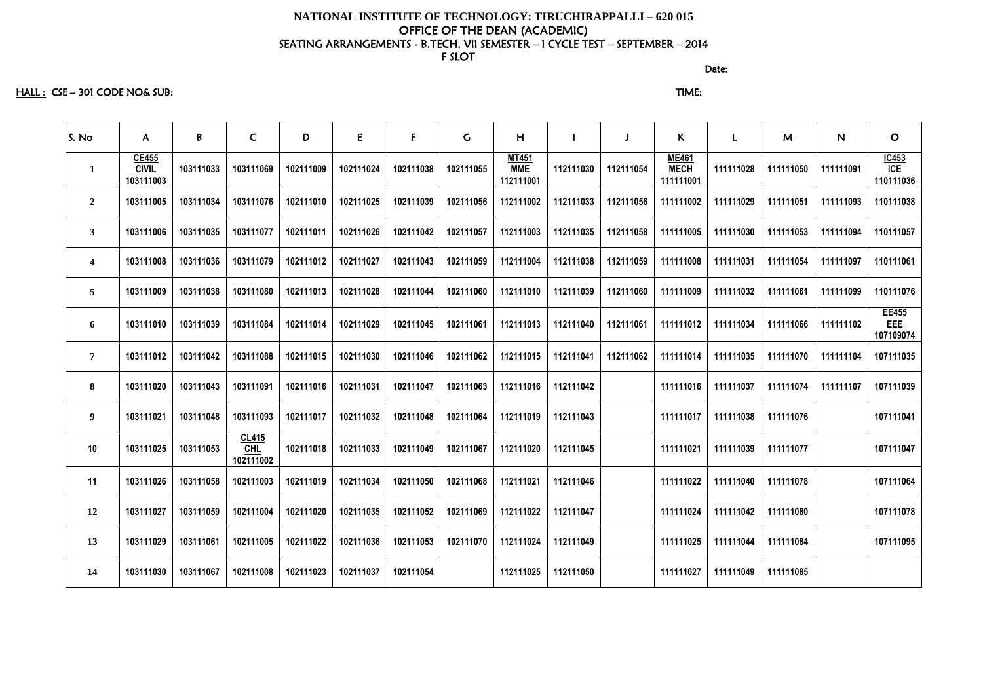HALL : CSE – 301 CODE NO& SUB: TIME:

discussion of the contract of the contract of the contract of the contract of the contract of the contract of the contract of the contract of the contract of the contract of the contract of the contract of the contract of

| S. No                   | $\mathsf{A}$                       | B         | $\mathsf{C}$                     | D         | E         | $\mathsf F$ | $\mathsf C$ | H                                       |           |           | $\mathsf{K}$                             | L         | M         | N         | $\mathbf O$                      |
|-------------------------|------------------------------------|-----------|----------------------------------|-----------|-----------|-------------|-------------|-----------------------------------------|-----------|-----------|------------------------------------------|-----------|-----------|-----------|----------------------------------|
| $\mathbf{1}$            | CE455<br><b>CIVIL</b><br>103111003 | 103111033 | 103111069                        | 102111009 | 102111024 | 102111038   | 102111055   | <b>MT451</b><br><b>MME</b><br>112111001 | 112111030 | 112111054 | <b>ME461</b><br><b>MECH</b><br>111111001 | 111111028 | 111111050 | 111111091 | $\frac{IC453}{ICE}$<br>110111036 |
| $\overline{2}$          | 103111005                          | 103111034 | 103111076                        | 102111010 | 102111025 | 102111039   | 102111056   | 112111002                               | 112111033 | 112111056 | 111111002                                | 111111029 | 111111051 | 111111093 | 110111038                        |
| $\mathbf{3}$            | 103111006                          | 103111035 | 103111077                        | 102111011 | 102111026 | 102111042   | 102111057   | 112111003                               | 112111035 | 112111058 | 111111005                                | 111111030 | 111111053 | 111111094 | 110111057                        |
| $\overline{\mathbf{4}}$ | 103111008                          | 103111036 | 103111079                        | 102111012 | 102111027 | 102111043   | 102111059   | 112111004                               | 112111038 | 112111059 | 111111008                                | 111111031 | 111111054 | 111111097 | 110111061                        |
| 5                       | 103111009                          | 103111038 | 103111080                        | 102111013 | 102111028 | 102111044   | 102111060   | 112111010                               | 112111039 | 112111060 | 111111009                                | 111111032 | 111111061 | 111111099 | 110111076                        |
| 6                       | 103111010                          | 103111039 | 103111084                        | 102111014 | 102111029 | 102111045   | 102111061   | 112111013                               | 112111040 | 112111061 | 111111012                                | 111111034 | 111111066 | 111111102 | EE455<br>EEE<br>107109074        |
| $\overline{7}$          | 103111012                          | 103111042 | 103111088                        | 102111015 | 102111030 | 102111046   | 102111062   | 112111015                               | 112111041 | 112111062 | 111111014                                | 111111035 | 111111070 | 111111104 | 107111035                        |
| 8                       | 103111020                          | 103111043 | 103111091                        | 102111016 | 102111031 | 102111047   | 102111063   | 112111016                               | 112111042 |           | 111111016                                | 111111037 | 111111074 | 111111107 | 107111039                        |
| $\boldsymbol{9}$        | 103111021                          | 103111048 | 103111093                        | 102111017 | 102111032 | 102111048   | 102111064   | 112111019                               | 112111043 |           | 111111017                                | 111111038 | 111111076 |           | 107111041                        |
| 10                      | 103111025                          | 103111053 | CL415<br><b>CHL</b><br>102111002 | 102111018 | 102111033 | 102111049   | 102111067   | 112111020                               | 112111045 |           | 111111021                                | 111111039 | 111111077 |           | 107111047                        |
| 11                      | 103111026                          | 103111058 | 102111003                        | 102111019 | 102111034 | 102111050   | 102111068   | 112111021                               | 112111046 |           | 111111022                                | 111111040 | 111111078 |           | 107111064                        |
| 12                      | 103111027                          | 103111059 | 102111004                        | 102111020 | 102111035 | 102111052   | 102111069   | 112111022                               | 112111047 |           | 111111024                                | 111111042 | 111111080 |           | 107111078                        |
| 13                      | 103111029                          | 103111061 | 102111005                        | 102111022 | 102111036 | 102111053   | 102111070   | 112111024                               | 112111049 |           | 111111025                                | 111111044 | 111111084 |           | 107111095                        |
| 14                      | 103111030                          | 103111067 | 102111008                        | 102111023 | 102111037 | 102111054   |             | 112111025                               | 112111050 |           | 111111027                                | 111111049 | 111111085 |           |                                  |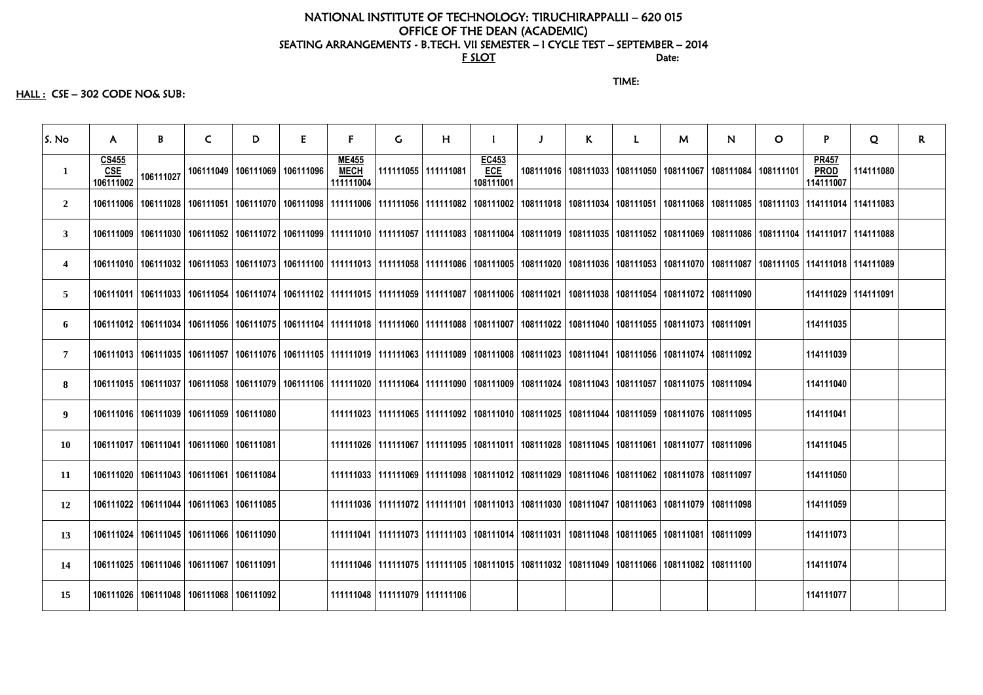# NATIONAL INSTITUTE OF TECHNOLOGY: TIRUCHIRAPPALLI – 620 015 OFFICE OF THE DEAN (ACADEMIC) SEATING ARRANGEMENTS - B.TECH. VII SEMESTER – I CYCLE TEST – SEPTEMBER – 2014<br>Date: For the state: the state of  $\overline{\text{F}}$  such that  $\overline{\text{F}}$  such that  $\overline{\text{F}}$  such that  $\overline{\text{F}}$  such that  $\overline{\text{F}}$  such that  $\overline{\text{F}}$  such that  $\overline{\text{F}}$  such that  $\overline{\text{F}}$  such that  $\overline{\text{F}}$  such that  $\overline{\$

TIME:

 $HALL:$   $CSE - 302$  CODE NO& SUB:

| S. No            | A.                                      | B         | $\mathsf{C}$                                                                                                                                                          | D | E | $\mathbf{F}$                             | G.                            | H                     |                                                                                                           | $\mathbf{J}$ | K | L. | $\mathsf{M}$ | N.                                                                                                                                                                                                                    | $\mathbf O$ | P                                        | Q         | $\mathsf{R}$ |
|------------------|-----------------------------------------|-----------|-----------------------------------------------------------------------------------------------------------------------------------------------------------------------|---|---|------------------------------------------|-------------------------------|-----------------------|-----------------------------------------------------------------------------------------------------------|--------------|---|----|--------------|-----------------------------------------------------------------------------------------------------------------------------------------------------------------------------------------------------------------------|-------------|------------------------------------------|-----------|--------------|
| $\mathbf 1$      | <b>CS455</b><br><b>CSE</b><br>106111002 | 106111027 | 106111049   106111069   106111096                                                                                                                                     |   |   | <b>ME455</b><br><b>MECH</b><br>111111004 |                               | 111111055   111111081 | EC453<br><b>ECE</b><br>108111001                                                                          |              |   |    |              | 108111016   108111033   108111050   108111067   108111084   108111101                                                                                                                                                 |             | <b>PR457</b><br><b>PROD</b><br>114111007 | 114111080 |              |
| $\overline{2}$   |                                         |           |                                                                                                                                                                       |   |   |                                          |                               |                       |                                                                                                           |              |   |    |              | 106111028   106111028   106111051   106111070   106111098   111111006   111111056   111111082   108111002   108111018   108111034   108111051   108111068   108111035   108111085   108111103   114111014   114111083 |             |                                          |           |              |
| $\mathbf{3}$     |                                         |           |                                                                                                                                                                       |   |   |                                          |                               |                       |                                                                                                           |              |   |    |              | 106111030   106111032   106111052   106111072   106111099   111111010   111111057   111111083   108111004   108111019   108111035   108111052   108111069   108111086   10811104   114111017   114111088              |             |                                          |           |              |
| $\boldsymbol{4}$ |                                         |           |                                                                                                                                                                       |   |   |                                          |                               |                       |                                                                                                           |              |   |    |              | 106111032   106111053   106111073   106111100   111111013   111111058   111111086   108111005   108111020   108111036   108111053   108111070   108111087   10811105   114111018   114111089                          |             |                                          |           |              |
| 5                |                                         |           | 106111011   106111033   106111054   106111074   106111102   111111015   111111059   111111087   108111006   108111021   108111038   108111054   108111072   108111090 |   |   |                                          |                               |                       |                                                                                                           |              |   |    |              |                                                                                                                                                                                                                       |             | 114111029 114111091                      |           |              |
| 6                |                                         |           | 106111012   106111034   106111056   106111075   106111104   111111018   111111060   111111088   108111007   108111022   108111040   108111055   108111073   108111091 |   |   |                                          |                               |                       |                                                                                                           |              |   |    |              |                                                                                                                                                                                                                       |             | 114111035                                |           |              |
| $\overline{7}$   |                                         |           | 106111013   106111035   106111057   106111076   106111105   111111019   111111063   111111089   108111008   108111023   108111041   108111056   108111074   108111092 |   |   |                                          |                               |                       |                                                                                                           |              |   |    |              |                                                                                                                                                                                                                       |             | 114111039                                |           |              |
| 8                |                                         |           | 106111015   106111037   106111058   106111079   106111106   111111020   111111064   111111090   108111009   108111024   108111043   108111057   108111075   108111094 |   |   |                                          |                               |                       |                                                                                                           |              |   |    |              |                                                                                                                                                                                                                       |             | 114111040                                |           |              |
| 9                |                                         |           | 106111016   106111039   106111059   106111080                                                                                                                         |   |   |                                          |                               |                       | 108111076   111111065   111111092   108111010   108111025   108111044   108111059   108111076   108111095 |              |   |    |              |                                                                                                                                                                                                                       |             | 114111041                                |           |              |
| <b>10</b>        |                                         |           | 106111017   106111041   106111060   106111081                                                                                                                         |   |   |                                          |                               |                       | 108111026   111111067   111111095   108111011   108111028   108111045   108111061   108111077   108111096 |              |   |    |              |                                                                                                                                                                                                                       |             | 114111045                                |           |              |
| 11               |                                         |           | 106111020   106111043   106111061   106111084                                                                                                                         |   |   |                                          |                               |                       | 111111033   111111069   111111098   108111012   108111029   108111046   108111062   108111078   108111097 |              |   |    |              |                                                                                                                                                                                                                       |             | 114111050                                |           |              |
| 12               |                                         |           | 106111022   106111044   106111063   106111085                                                                                                                         |   |   |                                          |                               |                       | 111111036   111111072   111111101   108111013   108111030   108111047   108111063   108111079   108111098 |              |   |    |              |                                                                                                                                                                                                                       |             | 114111059                                |           |              |
| 13               |                                         |           | 106111024   106111045   106111066   106111090                                                                                                                         |   |   |                                          |                               |                       | 111111041   111111073   111111103   108111014   108111031   108111048   108111065   108111081   108111099 |              |   |    |              |                                                                                                                                                                                                                       |             | 114111073                                |           |              |
| 14               |                                         |           | 106111025   106111046   106111067   106111091                                                                                                                         |   |   |                                          |                               |                       | 111111046   111111075   111111105   108111015   108111032   108111049   108111066   108111082   108111100 |              |   |    |              |                                                                                                                                                                                                                       |             | 114111074                                |           |              |
| 15               |                                         |           | 106111026   106111048   106111068   106111092                                                                                                                         |   |   |                                          | 111111048 111111079 111111106 |                       |                                                                                                           |              |   |    |              |                                                                                                                                                                                                                       |             | 114111077                                |           |              |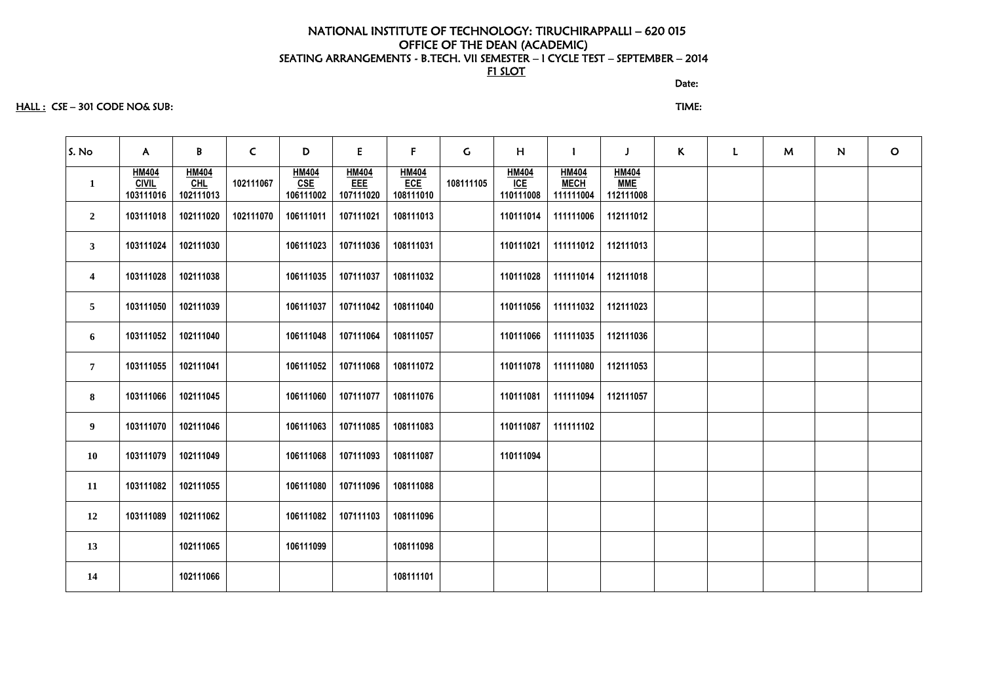#### discussion of the contract of the contract of the Date:

### HALL : CSE – 301 CODE NO& SUB: TIME:

| S. No                   | $\mathsf{A}$                              | B                                  | $\mathsf{C}$ | D                                                    | E                                | $\mathsf{F}$                            | $\mathsf{C}$ | H                                | $\mathbf{I}$                             | J                                       | $\mathsf{K}$ | $\mathbf{L}$ | M | N | $\circ$ |
|-------------------------|-------------------------------------------|------------------------------------|--------------|------------------------------------------------------|----------------------------------|-----------------------------------------|--------------|----------------------------------|------------------------------------------|-----------------------------------------|--------------|--------------|---|---|---------|
| $\mathbf{1}$            | <b>HM404</b><br><b>CIVIL</b><br>103111016 | <b>HM404</b><br>$CHL$<br>102111013 | 102111067    | <b>HM404</b><br>$\overline{\text{CSE}}$<br>106111002 | <b>HM404</b><br>EEE<br>107111020 | <b>HM404</b><br><b>ECE</b><br>108111010 | 108111105    | <b>HM404</b><br>ICE<br>110111008 | <b>HM404</b><br><b>MECH</b><br>111111004 | <b>HM404</b><br><b>MME</b><br>112111008 |              |              |   |   |         |
| $\overline{2}$          | 103111018                                 | 102111020                          | 102111070    | 106111011                                            | 107111021                        | 108111013                               |              | 110111014                        | 111111006                                | 112111012                               |              |              |   |   |         |
| $\mathbf{3}$            | 103111024                                 | 102111030                          |              | 106111023                                            | 107111036                        | 108111031                               |              | 110111021                        | 111111012                                | 112111013                               |              |              |   |   |         |
| $\overline{\mathbf{4}}$ | 103111028                                 | 102111038                          |              | 106111035                                            | 107111037                        | 108111032                               |              | 110111028                        | 111111014                                | 112111018                               |              |              |   |   |         |
| 5                       | 103111050                                 | 102111039                          |              | 106111037                                            | 107111042                        | 108111040                               |              | 110111056                        | 111111032                                | 112111023                               |              |              |   |   |         |
| 6                       | 103111052                                 | 102111040                          |              | 106111048                                            | 107111064                        | 108111057                               |              | 110111066                        | 111111035                                | 112111036                               |              |              |   |   |         |
| $\overline{7}$          | 103111055                                 | 102111041                          |              | 106111052                                            | 107111068                        | 108111072                               |              | 110111078                        | 111111080                                | 112111053                               |              |              |   |   |         |
| 8                       | 103111066                                 | 102111045                          |              | 106111060                                            | 107111077                        | 108111076                               |              | 110111081                        | 111111094                                | 112111057                               |              |              |   |   |         |
| 9 <sub>o</sub>          | 103111070                                 | 102111046                          |              | 106111063                                            | 107111085                        | 108111083                               |              | 110111087                        | 111111102                                |                                         |              |              |   |   |         |
| 10                      | 103111079                                 | 102111049                          |              | 106111068                                            | 107111093                        | 108111087                               |              | 110111094                        |                                          |                                         |              |              |   |   |         |
| 11                      | 103111082                                 | 102111055                          |              | 106111080                                            | 107111096                        | 108111088                               |              |                                  |                                          |                                         |              |              |   |   |         |
| 12                      | 103111089                                 | 102111062                          |              | 106111082                                            | 107111103                        | 108111096                               |              |                                  |                                          |                                         |              |              |   |   |         |
| 13                      |                                           | 102111065                          |              | 106111099                                            |                                  | 108111098                               |              |                                  |                                          |                                         |              |              |   |   |         |
| 14                      |                                           | 102111066                          |              |                                                      |                                  | 108111101                               |              |                                  |                                          |                                         |              |              |   |   |         |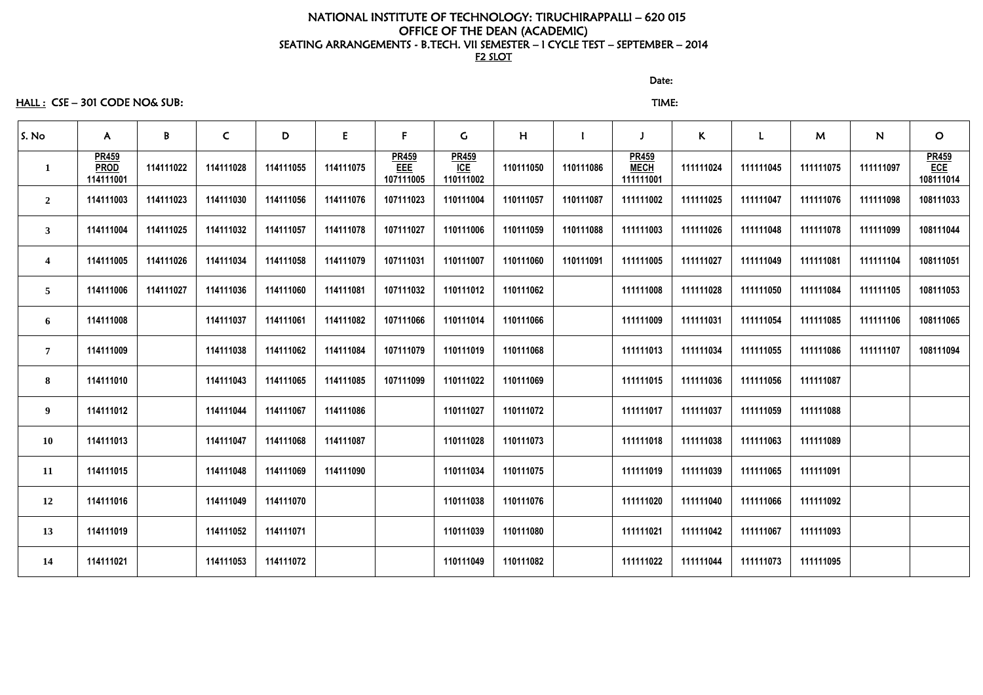HALL : CSE – 301 CODE NO& SUB: TIME:

discussion of the contract of the contract of the Date:

| S. No                   | $\mathsf{A}$                             | $\mathbf{B}$ | $\mathsf{C}$ | D         | E         | F                                | $\mathsf{C}$                     | H         |           |                                          | $\mathsf{K}$ | L         | M         | ${\bf N}$ | $\mathbf{O}$                     |
|-------------------------|------------------------------------------|--------------|--------------|-----------|-----------|----------------------------------|----------------------------------|-----------|-----------|------------------------------------------|--------------|-----------|-----------|-----------|----------------------------------|
|                         | <b>PR459</b><br><b>PROD</b><br>114111001 | 114111022    | 114111028    | 114111055 | 114111075 | <b>PR459</b><br>EEE<br>107111005 | <b>PR459</b><br>ICE<br>110111002 | 110111050 | 110111086 | <b>PR459</b><br><b>MECH</b><br>111111001 | 111111024    | 111111045 | 111111075 | 111111097 | $\frac{PR459}{ECE}$<br>108111014 |
| $\overline{2}$          | 114111003                                | 114111023    | 114111030    | 114111056 | 114111076 | 107111023                        | 110111004                        | 110111057 | 110111087 | 111111002                                | 111111025    | 111111047 | 111111076 | 111111098 | 108111033                        |
| 3                       | 114111004                                | 114111025    | 114111032    | 114111057 | 114111078 | 107111027                        | 110111006                        | 110111059 | 110111088 | 111111003                                | 111111026    | 111111048 | 111111078 | 111111099 | 108111044                        |
| $\overline{\mathbf{4}}$ | 114111005                                | 114111026    | 114111034    | 114111058 | 114111079 | 107111031                        | 110111007                        | 110111060 | 110111091 | 111111005                                | 111111027    | 111111049 | 111111081 | 111111104 | 108111051                        |
| $5\overline{)}$         | 114111006                                | 114111027    | 114111036    | 114111060 | 114111081 | 107111032                        | 110111012                        | 110111062 |           | 111111008                                | 111111028    | 111111050 | 111111084 | 111111105 | 108111053                        |
| 6                       | 114111008                                |              | 114111037    | 114111061 | 114111082 | 107111066                        | 110111014                        | 110111066 |           | 111111009                                | 111111031    | 111111054 | 111111085 | 111111106 | 108111065                        |
| $\overline{7}$          | 114111009                                |              | 114111038    | 114111062 | 114111084 | 107111079                        | 110111019                        | 110111068 |           | 111111013                                | 111111034    | 111111055 | 111111086 | 111111107 | 108111094                        |
| 8                       | 114111010                                |              | 114111043    | 114111065 | 114111085 | 107111099                        | 110111022                        | 110111069 |           | 111111015                                | 111111036    | 111111056 | 111111087 |           |                                  |
| 9                       | 114111012                                |              | 114111044    | 114111067 | 114111086 |                                  | 110111027                        | 110111072 |           | 111111017                                | 111111037    | 111111059 | 111111088 |           |                                  |
| <b>10</b>               | 114111013                                |              | 114111047    | 114111068 | 114111087 |                                  | 110111028                        | 110111073 |           | 111111018                                | 111111038    | 111111063 | 111111089 |           |                                  |
| 11                      | 114111015                                |              | 114111048    | 114111069 | 114111090 |                                  | 110111034                        | 110111075 |           | 111111019                                | 111111039    | 111111065 | 111111091 |           |                                  |
| 12                      | 114111016                                |              | 114111049    | 114111070 |           |                                  | 110111038                        | 110111076 |           | 111111020                                | 111111040    | 111111066 | 111111092 |           |                                  |
| 13                      | 114111019                                |              | 114111052    | 114111071 |           |                                  | 110111039                        | 110111080 |           | 111111021                                | 111111042    | 111111067 | 111111093 |           |                                  |
| 14                      | 114111021                                |              | 114111053    | 114111072 |           |                                  | 110111049                        | 110111082 |           | 111111022                                | 111111044    | 111111073 | 111111095 |           |                                  |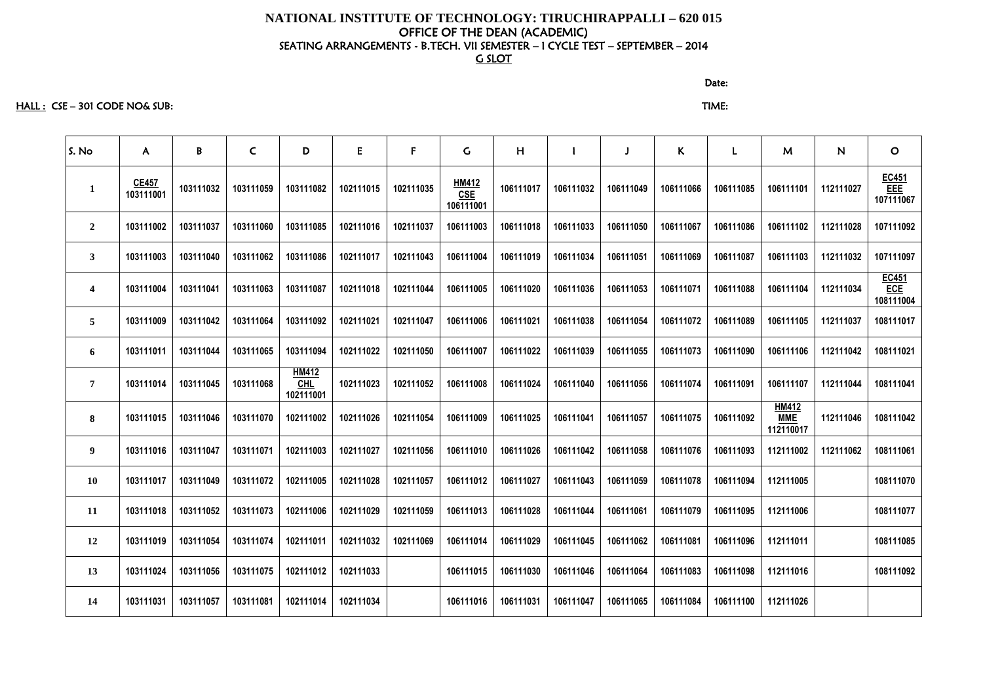HALL : CSE – 301 CODE NO& SUB: TIME:

discussion of the contract of the contract of the Date: the Contract of the Contract of the Contract of the Co

| S. No            | $\mathsf{A}$              | B         | $\mathsf{C}$ | D                                       | E         | F         | $\mathsf{G}$                     | H         |           |           | K.        | L         | M                                       | N         | $\mathbf{O}$                     |
|------------------|---------------------------|-----------|--------------|-----------------------------------------|-----------|-----------|----------------------------------|-----------|-----------|-----------|-----------|-----------|-----------------------------------------|-----------|----------------------------------|
| $\mathbf{1}$     | <b>CE457</b><br>103111001 | 103111032 | 103111059    | 103111082                               | 102111015 | 102111035 | HM412<br><b>CSE</b><br>106111001 | 106111017 | 106111032 | 106111049 | 106111066 | 106111085 | 106111101                               | 112111027 | EC451<br>EEE<br>107111067        |
| $\overline{2}$   | 103111002                 | 103111037 | 103111060    | 103111085                               | 102111016 | 102111037 | 106111003                        | 106111018 | 106111033 | 106111050 | 106111067 | 106111086 | 106111102                               | 112111028 | 107111092                        |
| $\mathbf{3}$     | 103111003                 | 103111040 | 103111062    | 103111086                               | 102111017 | 102111043 | 106111004                        | 106111019 | 106111034 | 106111051 | 106111069 | 106111087 | 106111103                               | 112111032 | 107111097                        |
| $\boldsymbol{4}$ | 103111004                 | 103111041 | 103111063    | 103111087                               | 102111018 | 102111044 | 106111005                        | 106111020 | 106111036 | 106111053 | 106111071 | 106111088 | 106111104                               | 112111034 | EC451<br><b>ECE</b><br>108111004 |
| $5\overline{)}$  | 103111009                 | 103111042 | 103111064    | 103111092                               | 102111021 | 102111047 | 106111006                        | 106111021 | 106111038 | 106111054 | 106111072 | 106111089 | 106111105                               | 112111037 | 108111017                        |
| 6                | 103111011                 | 103111044 | 103111065    | 103111094                               | 102111022 | 102111050 | 106111007                        | 106111022 | 106111039 | 106111055 | 106111073 | 106111090 | 106111106                               | 112111042 | 108111021                        |
| $\overline{7}$   | 103111014                 | 103111045 | 103111068    | <b>HM412</b><br><b>CHL</b><br>102111001 | 102111023 | 102111052 | 106111008                        | 106111024 | 106111040 | 106111056 | 106111074 | 106111091 | 106111107                               | 112111044 | 108111041                        |
| 8                | 103111015                 | 103111046 | 103111070    | 102111002                               | 102111026 | 102111054 | 106111009                        | 106111025 | 106111041 | 106111057 | 106111075 | 106111092 | <b>HM412</b><br><b>MME</b><br>112110017 | 112111046 | 108111042                        |
| 9                | 103111016                 | 103111047 | 103111071    | 102111003                               | 102111027 | 102111056 | 106111010                        | 106111026 | 106111042 | 106111058 | 106111076 | 106111093 | 112111002                               | 112111062 | 108111061                        |
| <b>10</b>        | 103111017                 | 103111049 | 103111072    | 102111005                               | 102111028 | 102111057 | 106111012                        | 106111027 | 106111043 | 106111059 | 106111078 | 106111094 | 112111005                               |           | 108111070                        |
| 11               | 103111018                 | 103111052 | 103111073    | 102111006                               | 102111029 | 102111059 | 106111013                        | 106111028 | 106111044 | 106111061 | 106111079 | 106111095 | 112111006                               |           | 108111077                        |
| 12               | 103111019                 | 103111054 | 103111074    | 102111011                               | 102111032 | 102111069 | 106111014                        | 106111029 | 106111045 | 106111062 | 106111081 | 106111096 | 112111011                               |           | 108111085                        |
| 13               | 103111024                 | 103111056 | 103111075    | 102111012                               | 102111033 |           | 106111015                        | 106111030 | 106111046 | 106111064 | 106111083 | 106111098 | 112111016                               |           | 108111092                        |
| <b>14</b>        | 103111031                 | 103111057 | 103111081    | 102111014                               | 102111034 |           | 106111016                        | 106111031 | 106111047 | 106111065 | 106111084 | 106111100 | 112111026                               |           |                                  |
|                  |                           |           |              |                                         |           |           |                                  |           |           |           |           |           |                                         |           |                                  |